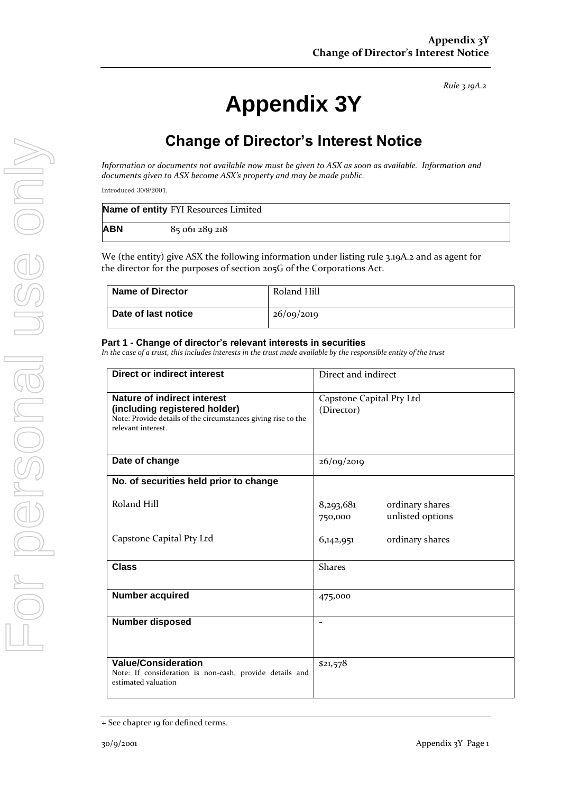# **Appendix 3Y**

# **Change of Director's Interest Notice**

*Information or documents not available now must be given to ASX as soon as available. Information and documents given to ASX become ASX's property and may be made public.*

Introduced 30/9/2001.

|            | Name of entity FYI Resources Limited |
|------------|--------------------------------------|
| <b>ABN</b> | 85 061 289 218                       |

We (the entity) give ASX the following information under listing rule 3.19A.2 and as agent for the director for the purposes of section 205G of the Corporations Act.

| <b>Name of Director</b> | Roland Hill |
|-------------------------|-------------|
| Date of last notice     | 26/09/2019  |

#### **Part 1 - Change of director's relevant interests in securities**

*In the case of a trust, this includes interests in the trust made available by the responsible entity of the trust*

| <b>Direct or indirect interest</b>                                                                                                                         | Direct and indirect                                         |  |
|------------------------------------------------------------------------------------------------------------------------------------------------------------|-------------------------------------------------------------|--|
| <b>Nature of indirect interest</b><br>(including registered holder)<br>Note: Provide details of the circumstances giving rise to the<br>relevant interest. | Capstone Capital Pty Ltd<br>(Director)                      |  |
| Date of change                                                                                                                                             | 26/09/2019                                                  |  |
| No. of securities held prior to change                                                                                                                     |                                                             |  |
| Roland Hill                                                                                                                                                | 8,293,681<br>ordinary shares<br>unlisted options<br>750,000 |  |
| Capstone Capital Pty Ltd                                                                                                                                   | ordinary shares<br>6,142,951                                |  |
| <b>Class</b>                                                                                                                                               | <b>Shares</b>                                               |  |
| <b>Number acquired</b>                                                                                                                                     | 475,000                                                     |  |
| <b>Number disposed</b>                                                                                                                                     |                                                             |  |
| <b>Value/Consideration</b><br>Note: If consideration is non-cash, provide details and<br>estimated valuation                                               | \$21,578                                                    |  |

<sup>+</sup> See chapter 19 for defined terms.

*Rule 3.19A.2*